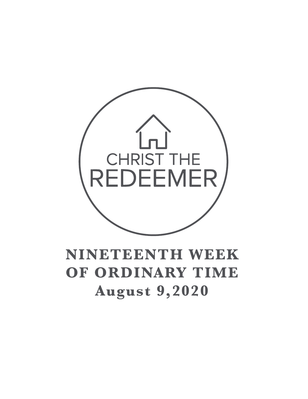

# **NINETEENTH WEEK OF ORDINARY TIME August 9,2020**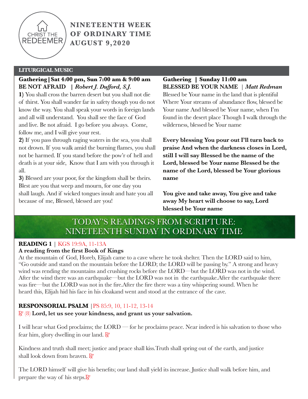

# **NINETEENTH WEEK OF ORDINARY TIME AUGUST 9,2020**

#### **LITURGICAL MUSIC**

# **Gathering|Sat 4:00 pm, Sun 7:00 am & 9:00 am BE NOT AFRAID |** *Robert J. Dufford, S.J.*

**1)** You shall cross the barren desert but you shall not die of thirst. You shall wander far in safety though you do not know the way. You shall speak your words in foreign lands and all will understand. You shall see the face of God and live. Be not afraid. I go before you always. Come, follow me, and I will give your rest.

**2)** If you pass through raging waters in the sea, you shall not drown. If you walk amid the burning flames, you shall not be harmed. If you stand before the pow'r of hell and death is at your side, Know that I am with you through it all.

**3)** Blessed are your poor, for the kingdom shall be theirs. Blest are you that weep and mourn, for one day you shall laugh. And if wicked tongues insult and hate you all because of me, Blessed, blessed are you!

# **Gathering | Sunday 11:00 am BLESSED BE YOUR NAME** | *Matt Redman*

Blessed be Your name in the land that is plentiful Where Your streams of abundance flow, blessed be Your name And blessed be Your name, when I'm found in the desert place Though I walk through the wilderness, blessed be Your name

**Every blessing You pour out I'll turn back to praise And when the darkness closes in Lord, still I will say Blessed be the name of the Lord, blessed be Your name Blessed be the name of the Lord, blessed be Your glorious name** 

**You give and take away, You give and take away My heart will choose to say, Lord blessed be Your name**

# TODAY'S READINGS FROM SCRIPTURE: NINETEENTH SUNDAY IN ORDINARY TIME

# **READING 1** | KGS 19:9A, 11-13A

# **A reading from the first Book of Kings**

At the mountain of God, Horeb, Elijah came to a cave where he took shelter. Then the LORD said to him, "Go outside and stand on the mountain before the LORD; the LORD will be passing by." A strong and heavy wind was rending the mountains and crushing rocks before the LORD—but the LORD was not in the wind. After the wind there was an earthquake—but the LORD was not in the earthquake.After the earthquake there was fire—but the LORD was not in the fire.After the fire there was a tiny whispering sound. When he heard this, Elijah hid his face in his cloakand went and stood at the entrance of the cave.

# **RESPONSORIAL PSALM** |PS 85:9, 10, 11-12, 13-14

R (8) **Lord, let us see your kindness, and grant us your salvation.**

I will hear what God proclaims; the LORD — for he proclaims peace. Near indeed is his salvation to those who fear him, glory dwelling in our land.  $\mathbb{R}^7$ 

Kindness and truth shall meet; justice and peace shall kiss.Truth shall spring out of the earth, and justice shall look down from heaven.  $\mathbb{R}^7$ 

The LORD himself will give his benefits; our land shall yield its increase. Justice shall walk before him, and prepare the way of his steps. $\mathbb{R}^7$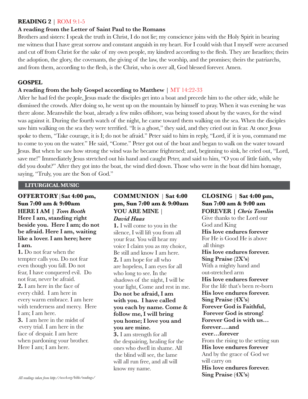# **READING 2** | ROM 9:1-5

#### **A reading from the Letter of Saint Paul to the Romans**

Brothers and sisters: I speak the truth in Christ, I do not lie; my conscience joins with the Holy Spirit in bearing me witness that I have great sorrow and constant anguish in my heart. For I could wish that I myself were accursed and cut off from Christ for the sake of my own people, my kindred according to the flesh. They are Israelites; theirs the adoption, the glory, the covenants, the giving of the law, the worship, and the promises; theirs the patriarchs, and from them, according to the flesh, is the Christ, who is over all, God blessed forever. Amen.

# **GOSPEL**

## **A reading from the holy Gospel according to Matthew** | MT 14:22-33

After he had fed the people, Jesus made the disciples get into a boat and precede him to the other side, while he dismissed the crowds. After doing so, he went up on the mountain by himself to pray. When it was evening he was there alone. Meanwhile the boat, already a few miles offshore, was being tossed about by the waves, for the wind was against it. During the fourth watch of the night, he came toward them walking on the sea. When the disciples saw him walking on the sea they were terrified. "It is a ghost," they said, and they cried out in fear. At once Jesus spoke to them, "Take courage, it is I; do not be afraid." Peter said to him in reply, "Lord, if it is you, command me to come to you on the water." He said, "Come." Peter got out of the boat and began to walk on the water toward Jesus. But when he saw how strong the wind was he became frightened; and, beginning to sink, he cried out, "Lord, save me!" Immediately Jesus stretched out his hand and caught Peter, and said to him, "O you of little faith, why did you doubt?" After they got into the boat, the wind died down. Those who were in the boat did him homage, saying, "Truly, you are the Son of God."

#### **LITURGICAL MUSIC**

# **OFFERTORY**|**Sat 4:00 pm, Sun 7:00 am & 9:00am HERE I AM |** *Tom Booth* **Here I am, standing right beside you. Here I am; do not be afraid. Here I am, waiting like a lover. I am here; here I am.**

**1.** Do not fear when the tempter calls you. Do not fear even though you fall. Do not fear, I have conquered evil. Do not fear, never be afraid. **2.** I am here in the face of every child. I am here in every warm embrace. I am here with tenderness and mercy. Here I am; I am here.

**3.** I am here in the midst of every trial. I am here in the face of despair. I am here when pardoning your brother. Here I am; I am here.

# **COMMUNION** | **Sat 4:00 pm, Sun 7:00 am & 9:00am YOU ARE MINE** | *David Haas*

**1.** I will come to you in the silence, I will lift you from all your fear. You will hear my voice I claim you as my choice, Be still and know I am here. **2.** I am hope for all who are hopeless, I am eyes for all who long to see. In the shadows of the night, I will be your light, Come and rest in me. **Do not be afraid, I am with you. I have called you each by name. Come & follow me, I will bring you home; I love you and you are mine.**

**3.** I am strength for all the despairing, healing for the ones who dwell in shame. All the blind will see, the lame will all run free, and all will know my name.

**CLOSING** | **Sat 4:00 pm, Sun 7:00 am & 9:00 am FOREVER |** *Chris Tomlin* Give thanks to the Lord our God and King **His love endures forever** For He is Good He is above all things **His love endures forever. Sing Praise (2X's)** With a mighty hand and out-stretched arm **His love endures forever** For the life that's been re-born **His love endures forever. Sing Praise (4X's) Forever God is Faithful, Forever God is strong! Forever God is with us… forever….and ever…forever** From the rising to the setting sun **His love endures forever** And by the grace of God we will carry on **His love endures forever. Sing Praise (4X's)**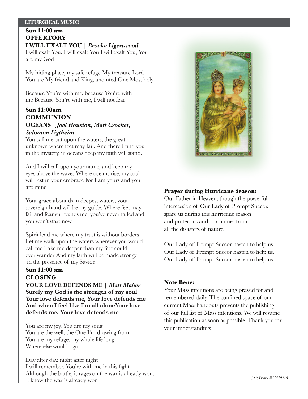#### **LITURGICAL MUSIC**

# **Sun 11:00 am OFFERTORY**

#### **I WILL EXALT YOU |** *Brooke Ligertwood*  I will exalt You, I will exalt You I will exalt You, You

are my God

My hiding place, my safe refuge My treasure Lord You are My friend and King, anointed One Most holy

Because You're with me, because You're with me Because You're with me, I will not fear

## **Sun 11:00am COMMUNION OCEANS** | *Joel Houston, Matt Crocker, Salomon Ligtheim*

You call me out upon the waters, the great unknown where feet may fail. And there I find you in the mystery, in oceans deep my faith will stand.

And I will call upon your name, and keep my eyes above the waves Where oceans rise, my soul will rest in your embrace For I am yours and you are mine

Your grace abounds in deepest waters, your sovereign hand will be my guide. Where feet may fail and fear surrounds me, you've never failed and you won't start now

Spirit lead me where my trust is without borders Let me walk upon the waters wherever you would call me Take me deeper than my feet could ever wander And my faith will be made stronger in the presence of my Savior.

#### **Sun 11:00 am CLOSING**

**YOUR LOVE DEFENDS ME |** *Matt Maher*  **Surely my God is the strength of my soul Your love defends me, Your love defends me And when I feel like I'm all aloneYour love defends me, Your love defends me**

You are my joy, You are my song You are the well, the One I'm drawing from You are my refuge, my whole life long Where else would I go

Day after day, night after night I will remember, You're with me in this fight Although the battle, it rages on the war is already won, I know the war is already won



# **Prayer during Hurricane Season:**

Our Father in Heaven, though the powerful intercession of Our Lady of Prompt Succor, spare us during this hurricane season and protect us and our homes from all the disasters of nature.

Our Lady of Prompt Succor hasten to help us. Our Lady of Prompt Succor hasten to help us. Our Lady of Prompt Succor hasten to help us.

#### **Note Bene:**

Your Mass intentions are being prayed for and remembered daily. The confined space of our current Mass handouts prevents the publishing of our full list of Mass intentions. We will resume this publication as soon as possible. Thank you for your understanding.